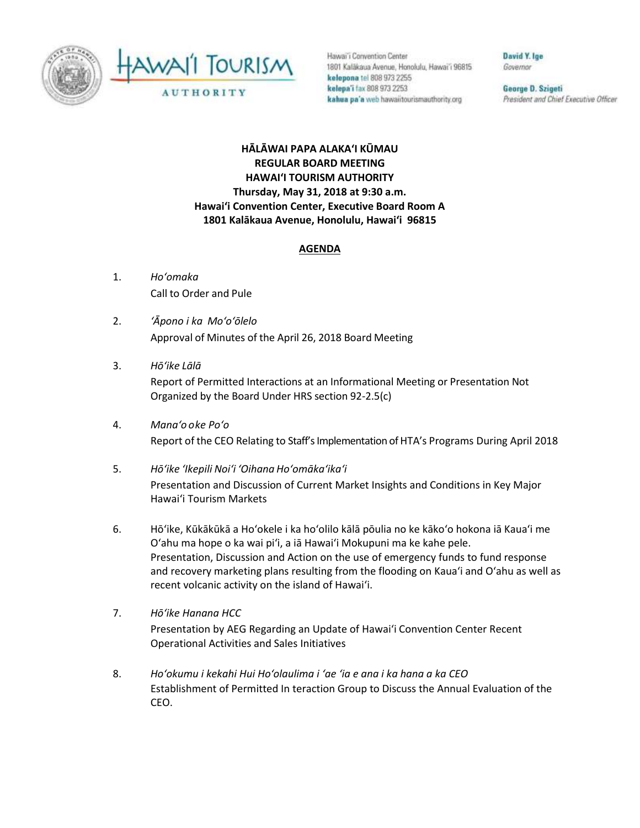

AWAII TOURISM **AUTHORITY** 

Hawai'i Convention Center 1801 Kalākaua Avenue, Honolulu, Hawai'i 96815 kelepona tel 808 973 2255 kelepa'i fax 808 973 2253 kahua pa'a web hawaiitourismauthority.org

David Y. Ige Governor

George D. Szigeti President and Chief Executive Officer

## **HĀLĀWAI PAPA ALAKAʻI KŪMAU REGULAR BOARD MEETING HAWAI'I TOURISM AUTHORITY Thursday, May 31, 2018 at 9:30 a.m. Hawai'i Convention Center, Executive Board Room A 1801 Kalākaua Avenue, Honolulu, Hawai'i 96815**

## **AGENDA**

- 1. *Ho'omaka* Call to Order and Pule
- 2. *ʻĀpono i ka Mo'o'ōlelo* Approval of Minutes of the April 26, 2018 Board Meeting
- 3. *Hō'ike Lālā*

Report of Permitted Interactions at an Informational Meeting or Presentation Not Organized by the Board Under HRS section 92-2.5(c)

- 4. *Mana'o o ke Poʻo* Report of the CEO Relating to Staff's Implementation of HTA's Programs During April 2018
- 5. *Hō'ike 'Ikepili Noi'i 'Oihana Ho'omāka'ika'i* Presentation and Discussion of Current Market Insights and Conditions in Key Major Hawai'i Tourism Markets
- 6. Hōʻike, Kūkākūkā a Hoʻokele i ka hoʻolilo kālā pōulia no ke kākoʻo hokona iā Kauaʻi me Oʻahu ma hope o ka wai piʻi, a iā Hawaiʻi Mokupuni ma ke kahe pele. Presentation, Discussion and Action on the use of emergency funds to fund response and recovery marketing plans resulting from the flooding on Kaua'i and O'ahu as well as recent volcanic activity on the island of Hawai'i.
- 7. *Hōʻike Hanana HCC* Presentation by AEG Regarding an Update of Hawai'i Convention Center Recent Operational Activities and Sales Initiatives
- 8. *Hoʻokumu i kekahi Hui Hoʻolaulima i ʻae ʻia e ana i ka hana a ka CEO* Establishment of Permitted In teraction Group to Discuss the Annual Evaluation of the CEO.